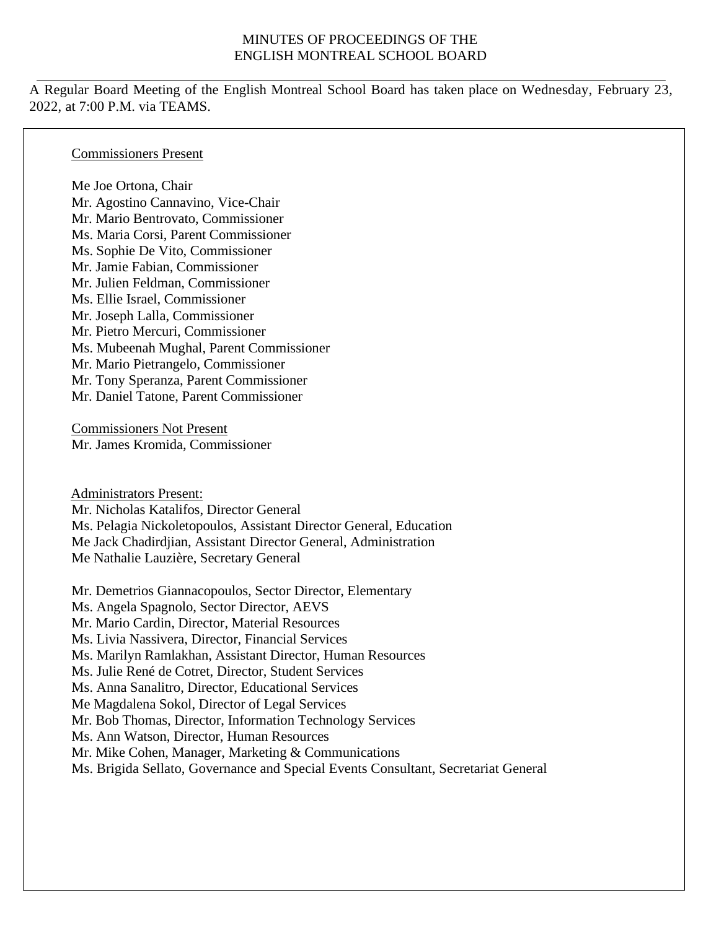#### MINUTES OF PROCEEDINGS OF THE ENGLISH MONTREAL SCHOOL BOARD

A Regular Board Meeting of the English Montreal School Board has taken place on Wednesday, February 23, 2022, at 7:00 P.M. via TEAMS.

#### Commissioners Present

Me Joe Ortona, Chair Mr. Agostino Cannavino, Vice-Chair Mr. Mario Bentrovato, Commissioner Ms. Maria Corsi, Parent Commissioner Ms. Sophie De Vito, Commissioner Mr. Jamie Fabian, Commissioner Mr. Julien Feldman, Commissioner Ms. Ellie Israel, Commissioner Mr. Joseph Lalla, Commissioner Mr. Pietro Mercuri, Commissioner Ms. Mubeenah Mughal, Parent Commissioner Mr. Mario Pietrangelo, Commissioner Mr. Tony Speranza, Parent Commissioner Mr. Daniel Tatone, Parent Commissioner

Commissioners Not Present Mr. James Kromida, Commissioner

Administrators Present: Mr. Nicholas Katalifos, Director General Ms. Pelagia Nickoletopoulos, Assistant Director General, Education Me Jack Chadirdjian, Assistant Director General, Administration Me Nathalie Lauzière, Secretary General

Mr. Demetrios Giannacopoulos, Sector Director, Elementary Ms. Angela Spagnolo, Sector Director, AEVS Mr. Mario Cardin, Director, Material Resources Ms. Livia Nassivera, Director, Financial Services Ms. Marilyn Ramlakhan, Assistant Director, Human Resources Ms. Julie René de Cotret, Director, Student Services Ms. Anna Sanalitro, Director, Educational Services Me Magdalena Sokol, Director of Legal Services Mr. Bob Thomas, Director, Information Technology Services Ms. Ann Watson, Director, Human Resources Mr. Mike Cohen, Manager, Marketing & Communications Ms. Brigida Sellato, Governance and Special Events Consultant, Secretariat General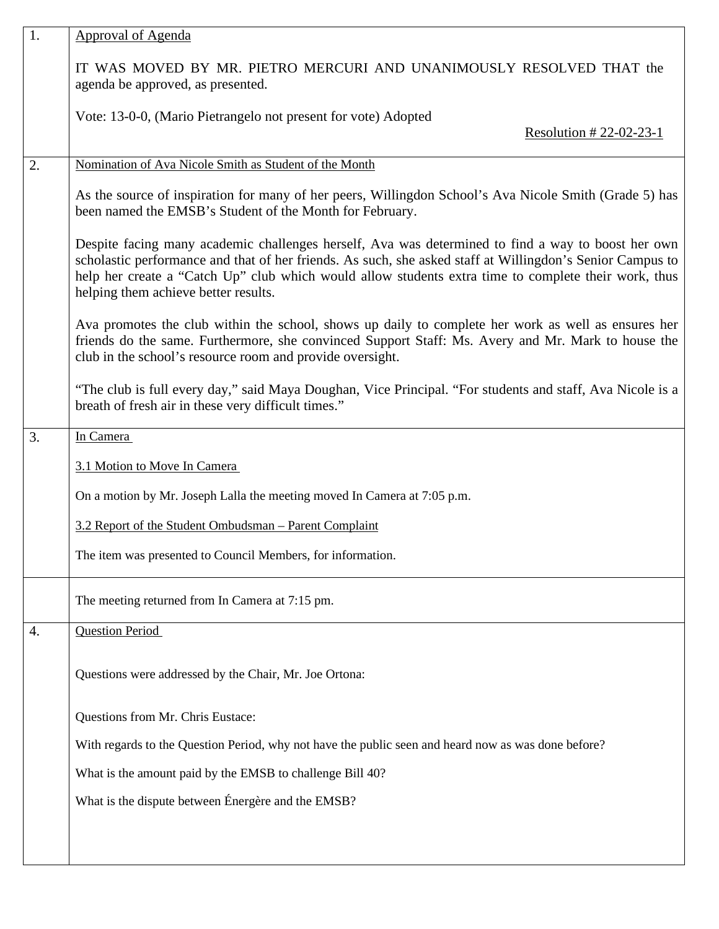| 1.                                                                                                                                                                                                                                                                                                                                                              | <b>Approval of Agenda</b>                                                                                                                                                                                                                                              |  |
|-----------------------------------------------------------------------------------------------------------------------------------------------------------------------------------------------------------------------------------------------------------------------------------------------------------------------------------------------------------------|------------------------------------------------------------------------------------------------------------------------------------------------------------------------------------------------------------------------------------------------------------------------|--|
|                                                                                                                                                                                                                                                                                                                                                                 | IT WAS MOVED BY MR. PIETRO MERCURI AND UNANIMOUSLY RESOLVED THAT the<br>agenda be approved, as presented.                                                                                                                                                              |  |
|                                                                                                                                                                                                                                                                                                                                                                 | Vote: 13-0-0, (Mario Pietrangelo not present for vote) Adopted<br>Resolution # 22-02-23-1                                                                                                                                                                              |  |
| 2.                                                                                                                                                                                                                                                                                                                                                              | Nomination of Ava Nicole Smith as Student of the Month                                                                                                                                                                                                                 |  |
|                                                                                                                                                                                                                                                                                                                                                                 | As the source of inspiration for many of her peers, Willingdon School's Ava Nicole Smith (Grade 5) has<br>been named the EMSB's Student of the Month for February.                                                                                                     |  |
| Despite facing many academic challenges herself, Ava was determined to find a way to boost her own<br>scholastic performance and that of her friends. As such, she asked staff at Willingdon's Senior Campus to<br>help her create a "Catch Up" club which would allow students extra time to complete their work, thus<br>helping them achieve better results. |                                                                                                                                                                                                                                                                        |  |
|                                                                                                                                                                                                                                                                                                                                                                 | Ava promotes the club within the school, shows up daily to complete her work as well as ensures her<br>friends do the same. Furthermore, she convinced Support Staff: Ms. Avery and Mr. Mark to house the<br>club in the school's resource room and provide oversight. |  |
| "The club is full every day," said Maya Doughan, Vice Principal. "For students and staff, Ava Nicole is a<br>breath of fresh air in these very difficult times."                                                                                                                                                                                                |                                                                                                                                                                                                                                                                        |  |
| 3.                                                                                                                                                                                                                                                                                                                                                              | In Camera                                                                                                                                                                                                                                                              |  |
|                                                                                                                                                                                                                                                                                                                                                                 | 3.1 Motion to Move In Camera                                                                                                                                                                                                                                           |  |
|                                                                                                                                                                                                                                                                                                                                                                 | On a motion by Mr. Joseph Lalla the meeting moved In Camera at 7:05 p.m.                                                                                                                                                                                               |  |
|                                                                                                                                                                                                                                                                                                                                                                 | 3.2 Report of the Student Ombudsman – Parent Complaint                                                                                                                                                                                                                 |  |
| The item was presented to Council Members, for information.                                                                                                                                                                                                                                                                                                     |                                                                                                                                                                                                                                                                        |  |
|                                                                                                                                                                                                                                                                                                                                                                 | The meeting returned from In Camera at 7:15 pm.                                                                                                                                                                                                                        |  |
| 4.                                                                                                                                                                                                                                                                                                                                                              | <b>Question Period</b>                                                                                                                                                                                                                                                 |  |
|                                                                                                                                                                                                                                                                                                                                                                 | Questions were addressed by the Chair, Mr. Joe Ortona:                                                                                                                                                                                                                 |  |
|                                                                                                                                                                                                                                                                                                                                                                 | Questions from Mr. Chris Eustace:                                                                                                                                                                                                                                      |  |
|                                                                                                                                                                                                                                                                                                                                                                 | With regards to the Question Period, why not have the public seen and heard now as was done before?                                                                                                                                                                    |  |
|                                                                                                                                                                                                                                                                                                                                                                 | What is the amount paid by the EMSB to challenge Bill 40?                                                                                                                                                                                                              |  |
|                                                                                                                                                                                                                                                                                                                                                                 | What is the dispute between Énergère and the EMSB?                                                                                                                                                                                                                     |  |
|                                                                                                                                                                                                                                                                                                                                                                 |                                                                                                                                                                                                                                                                        |  |
|                                                                                                                                                                                                                                                                                                                                                                 |                                                                                                                                                                                                                                                                        |  |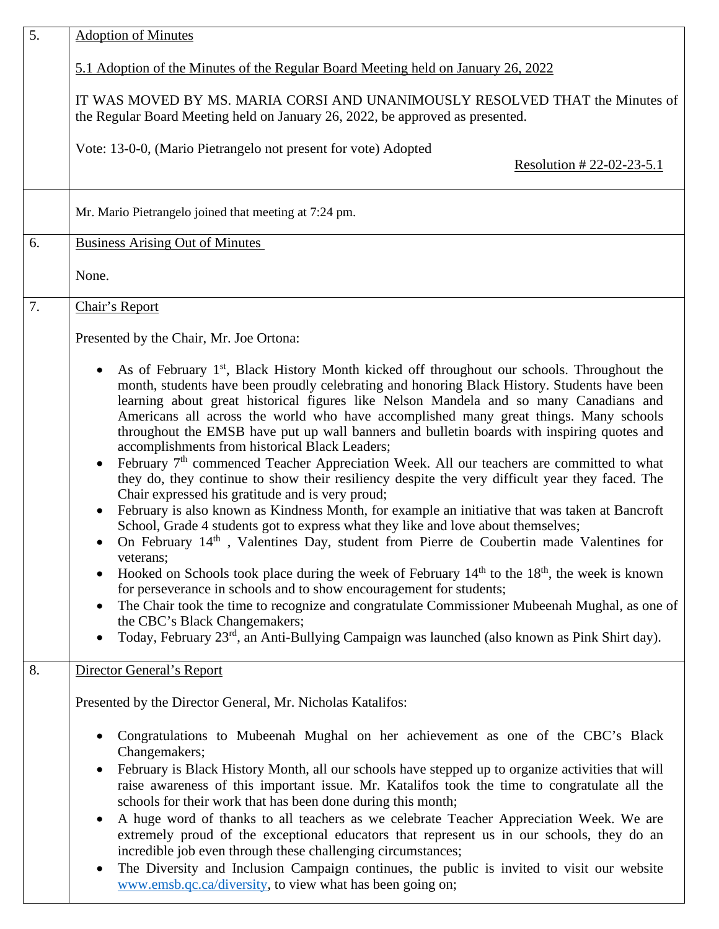| 5. | <b>Adoption of Minutes</b>                                                                                                                                                                                                                                                                                                                                                                                                                                                                                                                                                                                                                                                                                                                                                                                                                                                                                                                                                                                                                                                                                                                                                                                                                                                                                                                                                                                                                                                                                                                                             |  |  |
|----|------------------------------------------------------------------------------------------------------------------------------------------------------------------------------------------------------------------------------------------------------------------------------------------------------------------------------------------------------------------------------------------------------------------------------------------------------------------------------------------------------------------------------------------------------------------------------------------------------------------------------------------------------------------------------------------------------------------------------------------------------------------------------------------------------------------------------------------------------------------------------------------------------------------------------------------------------------------------------------------------------------------------------------------------------------------------------------------------------------------------------------------------------------------------------------------------------------------------------------------------------------------------------------------------------------------------------------------------------------------------------------------------------------------------------------------------------------------------------------------------------------------------------------------------------------------------|--|--|
|    | 5.1 Adoption of the Minutes of the Regular Board Meeting held on January 26, 2022                                                                                                                                                                                                                                                                                                                                                                                                                                                                                                                                                                                                                                                                                                                                                                                                                                                                                                                                                                                                                                                                                                                                                                                                                                                                                                                                                                                                                                                                                      |  |  |
|    | IT WAS MOVED BY MS. MARIA CORSI AND UNANIMOUSLY RESOLVED THAT the Minutes of<br>the Regular Board Meeting held on January 26, 2022, be approved as presented.                                                                                                                                                                                                                                                                                                                                                                                                                                                                                                                                                                                                                                                                                                                                                                                                                                                                                                                                                                                                                                                                                                                                                                                                                                                                                                                                                                                                          |  |  |
|    | Vote: 13-0-0, (Mario Pietrangelo not present for vote) Adopted<br>Resolution # 22-02-23-5.1                                                                                                                                                                                                                                                                                                                                                                                                                                                                                                                                                                                                                                                                                                                                                                                                                                                                                                                                                                                                                                                                                                                                                                                                                                                                                                                                                                                                                                                                            |  |  |
|    | Mr. Mario Pietrangelo joined that meeting at 7:24 pm.                                                                                                                                                                                                                                                                                                                                                                                                                                                                                                                                                                                                                                                                                                                                                                                                                                                                                                                                                                                                                                                                                                                                                                                                                                                                                                                                                                                                                                                                                                                  |  |  |
| 6. | <b>Business Arising Out of Minutes</b>                                                                                                                                                                                                                                                                                                                                                                                                                                                                                                                                                                                                                                                                                                                                                                                                                                                                                                                                                                                                                                                                                                                                                                                                                                                                                                                                                                                                                                                                                                                                 |  |  |
|    | None.                                                                                                                                                                                                                                                                                                                                                                                                                                                                                                                                                                                                                                                                                                                                                                                                                                                                                                                                                                                                                                                                                                                                                                                                                                                                                                                                                                                                                                                                                                                                                                  |  |  |
| 7. | Chair's Report                                                                                                                                                                                                                                                                                                                                                                                                                                                                                                                                                                                                                                                                                                                                                                                                                                                                                                                                                                                                                                                                                                                                                                                                                                                                                                                                                                                                                                                                                                                                                         |  |  |
|    | Presented by the Chair, Mr. Joe Ortona:                                                                                                                                                                                                                                                                                                                                                                                                                                                                                                                                                                                                                                                                                                                                                                                                                                                                                                                                                                                                                                                                                                                                                                                                                                                                                                                                                                                                                                                                                                                                |  |  |
|    | As of February 1 <sup>st</sup> , Black History Month kicked off throughout our schools. Throughout the<br>month, students have been proudly celebrating and honoring Black History. Students have been<br>learning about great historical figures like Nelson Mandela and so many Canadians and<br>Americans all across the world who have accomplished many great things. Many schools<br>throughout the EMSB have put up wall banners and bulletin boards with inspiring quotes and<br>accomplishments from historical Black Leaders;<br>February 7 <sup>th</sup> commenced Teacher Appreciation Week. All our teachers are committed to what<br>$\bullet$<br>they do, they continue to show their resiliency despite the very difficult year they faced. The<br>Chair expressed his gratitude and is very proud;<br>February is also known as Kindness Month, for example an initiative that was taken at Bancroft<br>$\bullet$<br>School, Grade 4 students got to express what they like and love about themselves;<br>On February 14 <sup>th</sup> , Valentines Day, student from Pierre de Coubertin made Valentines for<br>veterans;<br>Hooked on Schools took place during the week of February $14th$ to the $18th$ , the week is known<br>for perseverance in schools and to show encouragement for students;<br>The Chair took the time to recognize and congratulate Commissioner Mubeenah Mughal, as one of<br>the CBC's Black Changemakers;<br>Today, February 23 <sup>rd</sup> , an Anti-Bullying Campaign was launched (also known as Pink Shirt day). |  |  |
| 8. | Director General's Report                                                                                                                                                                                                                                                                                                                                                                                                                                                                                                                                                                                                                                                                                                                                                                                                                                                                                                                                                                                                                                                                                                                                                                                                                                                                                                                                                                                                                                                                                                                                              |  |  |
|    | Presented by the Director General, Mr. Nicholas Katalifos:                                                                                                                                                                                                                                                                                                                                                                                                                                                                                                                                                                                                                                                                                                                                                                                                                                                                                                                                                                                                                                                                                                                                                                                                                                                                                                                                                                                                                                                                                                             |  |  |
|    | Congratulations to Mubeenah Mughal on her achievement as one of the CBC's Black<br>Changemakers;<br>February is Black History Month, all our schools have stepped up to organize activities that will<br>$\bullet$<br>raise awareness of this important issue. Mr. Katalifos took the time to congratulate all the<br>schools for their work that has been done during this month;<br>A huge word of thanks to all teachers as we celebrate Teacher Appreciation Week. We are<br>$\bullet$<br>extremely proud of the exceptional educators that represent us in our schools, they do an<br>incredible job even through these challenging circumstances;<br>The Diversity and Inclusion Campaign continues, the public is invited to visit our website<br>www.emsb.qc.ca/diversity, to view what has been going on;                                                                                                                                                                                                                                                                                                                                                                                                                                                                                                                                                                                                                                                                                                                                                     |  |  |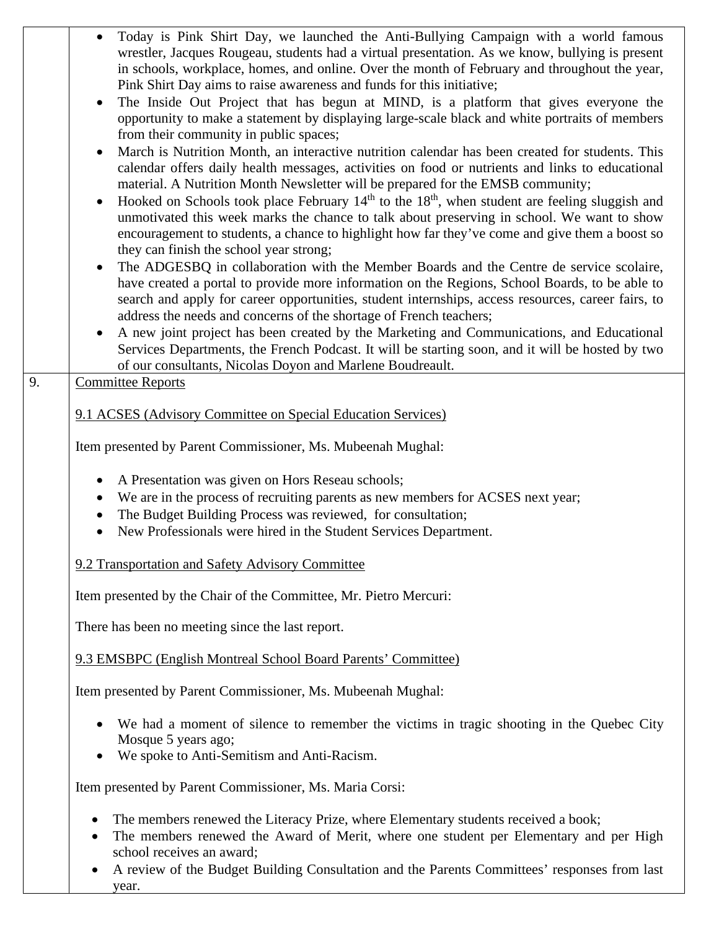|                                                             | Today is Pink Shirt Day, we launched the Anti-Bullying Campaign with a world famous<br>wrestler, Jacques Rougeau, students had a virtual presentation. As we know, bullying is present<br>in schools, workplace, homes, and online. Over the month of February and throughout the year,<br>Pink Shirt Day aims to raise awareness and funds for this initiative;<br>The Inside Out Project that has begun at MIND, is a platform that gives everyone the<br>opportunity to make a statement by displaying large-scale black and white portraits of members |
|-------------------------------------------------------------|------------------------------------------------------------------------------------------------------------------------------------------------------------------------------------------------------------------------------------------------------------------------------------------------------------------------------------------------------------------------------------------------------------------------------------------------------------------------------------------------------------------------------------------------------------|
|                                                             | from their community in public spaces;<br>March is Nutrition Month, an interactive nutrition calendar has been created for students. This<br>calendar offers daily health messages, activities on food or nutrients and links to educational<br>material. A Nutrition Month Newsletter will be prepared for the EMSB community;<br>Hooked on Schools took place February $14th$ to the $18th$ , when student are feeling sluggish and                                                                                                                      |
|                                                             | unmotivated this week marks the chance to talk about preserving in school. We want to show<br>encouragement to students, a chance to highlight how far they've come and give them a boost so<br>they can finish the school year strong;                                                                                                                                                                                                                                                                                                                    |
|                                                             | The ADGESBQ in collaboration with the Member Boards and the Centre de service scolaire,<br>have created a portal to provide more information on the Regions, School Boards, to be able to<br>search and apply for career opportunities, student internships, access resources, career fairs, to<br>address the needs and concerns of the shortage of French teachers;<br>A new joint project has been created by the Marketing and Communications, and Educational<br>$\bullet$                                                                            |
|                                                             | Services Departments, the French Podcast. It will be starting soon, and it will be hosted by two<br>of our consultants, Nicolas Doyon and Marlene Boudreault.                                                                                                                                                                                                                                                                                                                                                                                              |
| 9.                                                          | <b>Committee Reports</b>                                                                                                                                                                                                                                                                                                                                                                                                                                                                                                                                   |
|                                                             | 9.1 ACSES (Advisory Committee on Special Education Services)                                                                                                                                                                                                                                                                                                                                                                                                                                                                                               |
|                                                             | Item presented by Parent Commissioner, Ms. Mubeenah Mughal:                                                                                                                                                                                                                                                                                                                                                                                                                                                                                                |
|                                                             | A Presentation was given on Hors Reseau schools;<br>We are in the process of recruiting parents as new members for ACSES next year;<br>The Budget Building Process was reviewed, for consultation;<br>New Professionals were hired in the Student Services Department.                                                                                                                                                                                                                                                                                     |
|                                                             | 9.2 Transportation and Safety Advisory Committee                                                                                                                                                                                                                                                                                                                                                                                                                                                                                                           |
|                                                             | Item presented by the Chair of the Committee, Mr. Pietro Mercuri:                                                                                                                                                                                                                                                                                                                                                                                                                                                                                          |
|                                                             | There has been no meeting since the last report.                                                                                                                                                                                                                                                                                                                                                                                                                                                                                                           |
|                                                             | 9.3 EMSBPC (English Montreal School Board Parents' Committee)                                                                                                                                                                                                                                                                                                                                                                                                                                                                                              |
| Item presented by Parent Commissioner, Ms. Mubeenah Mughal: |                                                                                                                                                                                                                                                                                                                                                                                                                                                                                                                                                            |
|                                                             | We had a moment of silence to remember the victims in tragic shooting in the Quebec City<br>Mosque 5 years ago;<br>We spoke to Anti-Semitism and Anti-Racism.<br>$\bullet$                                                                                                                                                                                                                                                                                                                                                                                 |
|                                                             | Item presented by Parent Commissioner, Ms. Maria Corsi:                                                                                                                                                                                                                                                                                                                                                                                                                                                                                                    |
|                                                             | The members renewed the Literacy Prize, where Elementary students received a book;<br>$\bullet$<br>The members renewed the Award of Merit, where one student per Elementary and per High<br>$\bullet$<br>school receives an award;<br>A review of the Budget Building Consultation and the Parents Committees' responses from last                                                                                                                                                                                                                         |

year.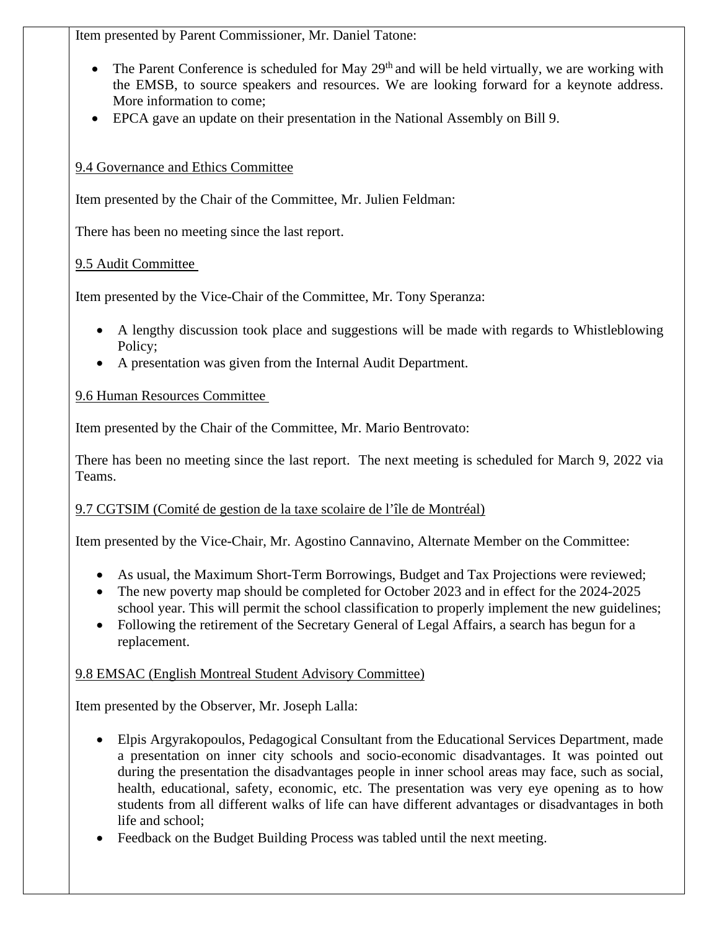Item presented by Parent Commissioner, Mr. Daniel Tatone:

- The Parent Conference is scheduled for May  $29<sup>th</sup>$  and will be held virtually, we are working with the EMSB, to source speakers and resources. We are looking forward for a keynote address. More information to come;
- EPCA gave an update on their presentation in the National Assembly on Bill 9.

# 9.4 Governance and Ethics Committee

Item presented by the Chair of the Committee, Mr. Julien Feldman:

There has been no meeting since the last report.

## 9.5 Audit Committee

Item presented by the Vice-Chair of the Committee, Mr. Tony Speranza:

- A lengthy discussion took place and suggestions will be made with regards to Whistleblowing Policy;
- A presentation was given from the Internal Audit Department.

## 9.6 Human Resources Committee

Item presented by the Chair of the Committee, Mr. Mario Bentrovato:

There has been no meeting since the last report. The next meeting is scheduled for March 9, 2022 via Teams.

# 9.7 CGTSIM (Comité de gestion de la taxe scolaire de l'île de Montréal)

Item presented by the Vice-Chair, Mr. Agostino Cannavino, Alternate Member on the Committee:

- As usual, the Maximum Short-Term Borrowings, Budget and Tax Projections were reviewed;
- The new poverty map should be completed for October 2023 and in effect for the 2024-2025 school year. This will permit the school classification to properly implement the new guidelines;
- Following the retirement of the Secretary General of Legal Affairs, a search has begun for a replacement.

# 9.8 EMSAC (English Montreal Student Advisory Committee)

Item presented by the Observer, Mr. Joseph Lalla:

- Elpis Argyrakopoulos, Pedagogical Consultant from the Educational Services Department, made a presentation on inner city schools and socio-economic disadvantages. It was pointed out during the presentation the disadvantages people in inner school areas may face, such as social, health, educational, safety, economic, etc. The presentation was very eye opening as to how students from all different walks of life can have different advantages or disadvantages in both life and school;
- Feedback on the Budget Building Process was tabled until the next meeting.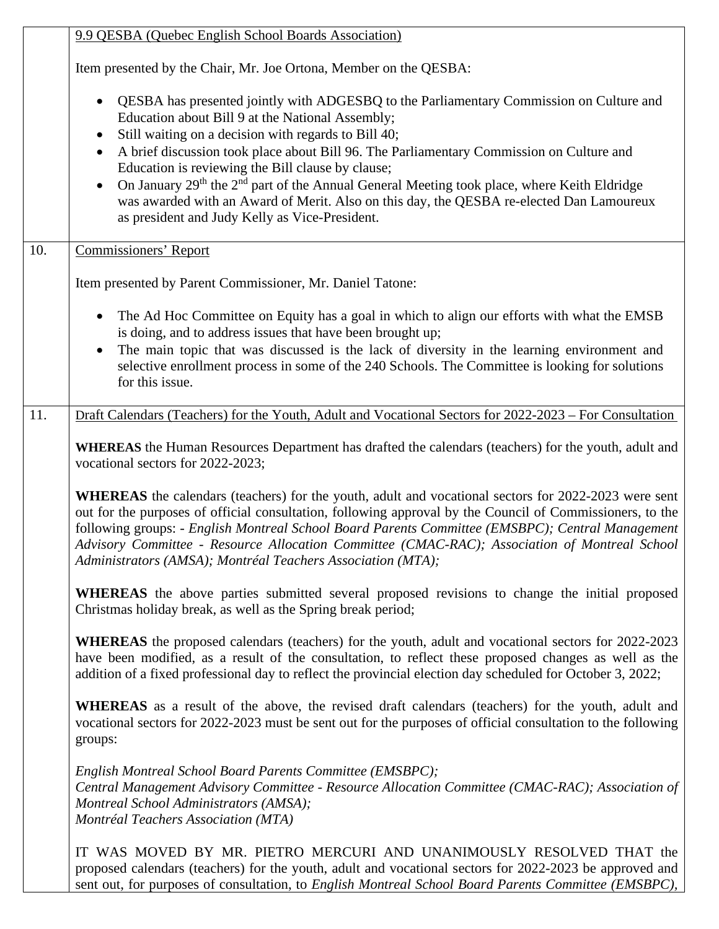| 9.9 QESBA (Quebec English School Boards Association) |                                                                                                                                                                                                                                                                                                                                                                                                                                                                                                                                                                                                                                        |
|------------------------------------------------------|----------------------------------------------------------------------------------------------------------------------------------------------------------------------------------------------------------------------------------------------------------------------------------------------------------------------------------------------------------------------------------------------------------------------------------------------------------------------------------------------------------------------------------------------------------------------------------------------------------------------------------------|
|                                                      | Item presented by the Chair, Mr. Joe Ortona, Member on the QESBA:                                                                                                                                                                                                                                                                                                                                                                                                                                                                                                                                                                      |
|                                                      | QESBA has presented jointly with ADGESBQ to the Parliamentary Commission on Culture and<br>Education about Bill 9 at the National Assembly;<br>Still waiting on a decision with regards to Bill 40;<br>A brief discussion took place about Bill 96. The Parliamentary Commission on Culture and<br>$\bullet$<br>Education is reviewing the Bill clause by clause;<br>On January 29 <sup>th</sup> the 2 <sup>nd</sup> part of the Annual General Meeting took place, where Keith Eldridge<br>was awarded with an Award of Merit. Also on this day, the QESBA re-elected Dan Lamoureux<br>as president and Judy Kelly as Vice-President. |
| 10.                                                  | <b>Commissioners' Report</b>                                                                                                                                                                                                                                                                                                                                                                                                                                                                                                                                                                                                           |
|                                                      | Item presented by Parent Commissioner, Mr. Daniel Tatone:                                                                                                                                                                                                                                                                                                                                                                                                                                                                                                                                                                              |
|                                                      | The Ad Hoc Committee on Equity has a goal in which to align our efforts with what the EMSB<br>is doing, and to address issues that have been brought up;<br>The main topic that was discussed is the lack of diversity in the learning environment and<br>selective enrollment process in some of the 240 Schools. The Committee is looking for solutions<br>for this issue.                                                                                                                                                                                                                                                           |
| 11.                                                  | Draft Calendars (Teachers) for the Youth, Adult and Vocational Sectors for 2022-2023 – For Consultation                                                                                                                                                                                                                                                                                                                                                                                                                                                                                                                                |
|                                                      | WHEREAS the Human Resources Department has drafted the calendars (teachers) for the youth, adult and<br>vocational sectors for 2022-2023;                                                                                                                                                                                                                                                                                                                                                                                                                                                                                              |
|                                                      | <b>WHEREAS</b> the calendars (teachers) for the youth, adult and vocational sectors for 2022-2023 were sent<br>out for the purposes of official consultation, following approval by the Council of Commissioners, to the<br>following groups: - English Montreal School Board Parents Committee (EMSBPC); Central Management<br>Advisory Committee - Resource Allocation Committee (CMAC-RAC); Association of Montreal School<br>Administrators (AMSA); Montréal Teachers Association (MTA);                                                                                                                                           |
|                                                      | <b>WHEREAS</b> the above parties submitted several proposed revisions to change the initial proposed<br>Christmas holiday break, as well as the Spring break period;                                                                                                                                                                                                                                                                                                                                                                                                                                                                   |
|                                                      | WHEREAS the proposed calendars (teachers) for the youth, adult and vocational sectors for 2022-2023<br>have been modified, as a result of the consultation, to reflect these proposed changes as well as the<br>addition of a fixed professional day to reflect the provincial election day scheduled for October 3, 2022;                                                                                                                                                                                                                                                                                                             |
|                                                      | <b>WHEREAS</b> as a result of the above, the revised draft calendars (teachers) for the youth, adult and<br>vocational sectors for 2022-2023 must be sent out for the purposes of official consultation to the following<br>groups:                                                                                                                                                                                                                                                                                                                                                                                                    |
|                                                      | English Montreal School Board Parents Committee (EMSBPC);<br>Central Management Advisory Committee - Resource Allocation Committee (CMAC-RAC); Association of<br>Montreal School Administrators (AMSA);<br>Montréal Teachers Association (MTA)                                                                                                                                                                                                                                                                                                                                                                                         |
|                                                      | IT WAS MOVED BY MR. PIETRO MERCURI AND UNANIMOUSLY RESOLVED THAT the<br>proposed calendars (teachers) for the youth, adult and vocational sectors for 2022-2023 be approved and<br>sent out, for purposes of consultation, to English Montreal School Board Parents Committee (EMSBPC),                                                                                                                                                                                                                                                                                                                                                |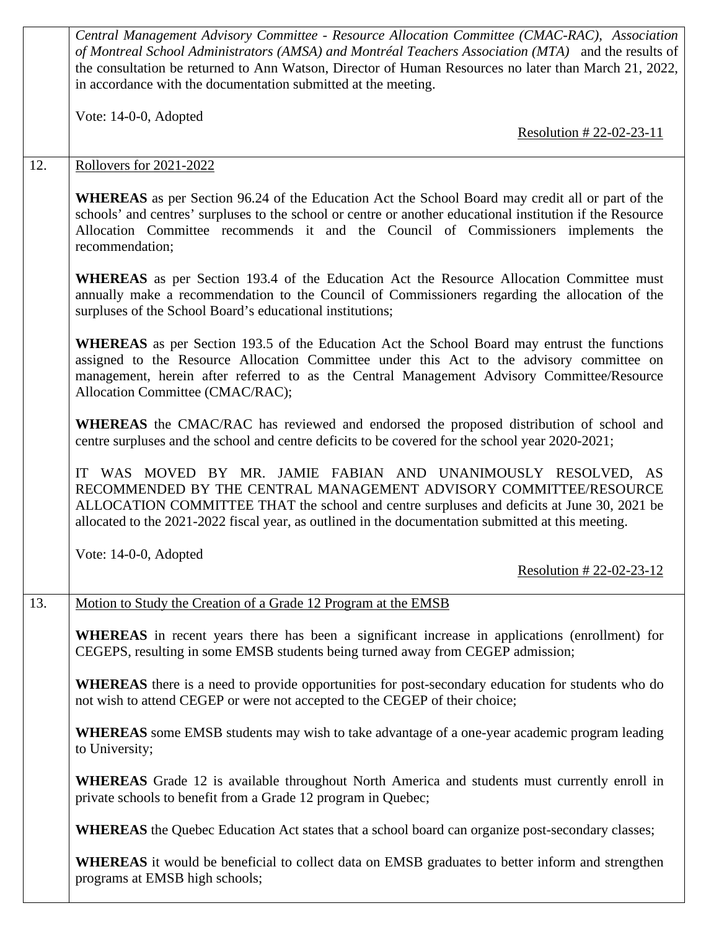|                                                                       | Central Management Advisory Committee - Resource Allocation Committee (CMAC-RAC), Association<br>of Montreal School Administrators (AMSA) and Montréal Teachers Association (MTA) and the results of<br>the consultation be returned to Ann Watson, Director of Human Resources no later than March 21, 2022,<br>in accordance with the documentation submitted at the meeting. |                                                                                                                                                                                                                                                                                                                                            |  |
|-----------------------------------------------------------------------|---------------------------------------------------------------------------------------------------------------------------------------------------------------------------------------------------------------------------------------------------------------------------------------------------------------------------------------------------------------------------------|--------------------------------------------------------------------------------------------------------------------------------------------------------------------------------------------------------------------------------------------------------------------------------------------------------------------------------------------|--|
|                                                                       |                                                                                                                                                                                                                                                                                                                                                                                 | Vote: 14-0-0, Adopted<br>Resolution # 22-02-23-11                                                                                                                                                                                                                                                                                          |  |
|                                                                       | 12.                                                                                                                                                                                                                                                                                                                                                                             | <b>Rollovers for 2021-2022</b>                                                                                                                                                                                                                                                                                                             |  |
|                                                                       |                                                                                                                                                                                                                                                                                                                                                                                 | <b>WHEREAS</b> as per Section 96.24 of the Education Act the School Board may credit all or part of the<br>schools' and centres' surpluses to the school or centre or another educational institution if the Resource<br>Allocation Committee recommends it and the Council of Commissioners implements the<br>recommendation;             |  |
|                                                                       |                                                                                                                                                                                                                                                                                                                                                                                 | <b>WHEREAS</b> as per Section 193.4 of the Education Act the Resource Allocation Committee must<br>annually make a recommendation to the Council of Commissioners regarding the allocation of the<br>surpluses of the School Board's educational institutions;                                                                             |  |
|                                                                       |                                                                                                                                                                                                                                                                                                                                                                                 | <b>WHEREAS</b> as per Section 193.5 of the Education Act the School Board may entrust the functions<br>assigned to the Resource Allocation Committee under this Act to the advisory committee on<br>management, herein after referred to as the Central Management Advisory Committee/Resource<br>Allocation Committee (CMAC/RAC);         |  |
|                                                                       |                                                                                                                                                                                                                                                                                                                                                                                 | WHEREAS the CMAC/RAC has reviewed and endorsed the proposed distribution of school and<br>centre surpluses and the school and centre deficits to be covered for the school year 2020-2021;                                                                                                                                                 |  |
|                                                                       |                                                                                                                                                                                                                                                                                                                                                                                 | WAS MOVED BY MR. JAMIE FABIAN AND UNANIMOUSLY RESOLVED, AS<br>IT<br>RECOMMENDED BY THE CENTRAL MANAGEMENT ADVISORY COMMITTEE/RESOURCE<br>ALLOCATION COMMITTEE THAT the school and centre surpluses and deficits at June 30, 2021 be<br>allocated to the 2021-2022 fiscal year, as outlined in the documentation submitted at this meeting. |  |
|                                                                       |                                                                                                                                                                                                                                                                                                                                                                                 | Vote: $14-0-0$ , Adopted<br>Resolution # 22-02-23-12                                                                                                                                                                                                                                                                                       |  |
| 13.<br>Motion to Study the Creation of a Grade 12 Program at the EMSB |                                                                                                                                                                                                                                                                                                                                                                                 |                                                                                                                                                                                                                                                                                                                                            |  |
|                                                                       |                                                                                                                                                                                                                                                                                                                                                                                 | <b>WHEREAS</b> in recent years there has been a significant increase in applications (enrollment) for<br>CEGEPS, resulting in some EMSB students being turned away from CEGEP admission;                                                                                                                                                   |  |
|                                                                       |                                                                                                                                                                                                                                                                                                                                                                                 | <b>WHEREAS</b> there is a need to provide opportunities for post-secondary education for students who do<br>not wish to attend CEGEP or were not accepted to the CEGEP of their choice;                                                                                                                                                    |  |
|                                                                       |                                                                                                                                                                                                                                                                                                                                                                                 | <b>WHEREAS</b> some EMSB students may wish to take advantage of a one-year academic program leading<br>to University;                                                                                                                                                                                                                      |  |
|                                                                       |                                                                                                                                                                                                                                                                                                                                                                                 | <b>WHEREAS</b> Grade 12 is available throughout North America and students must currently enroll in<br>private schools to benefit from a Grade 12 program in Quebec;                                                                                                                                                                       |  |
|                                                                       |                                                                                                                                                                                                                                                                                                                                                                                 | <b>WHEREAS</b> the Quebec Education Act states that a school board can organize post-secondary classes;                                                                                                                                                                                                                                    |  |
|                                                                       |                                                                                                                                                                                                                                                                                                                                                                                 | <b>WHEREAS</b> it would be beneficial to collect data on EMSB graduates to better inform and strengthen<br>programs at EMSB high schools;                                                                                                                                                                                                  |  |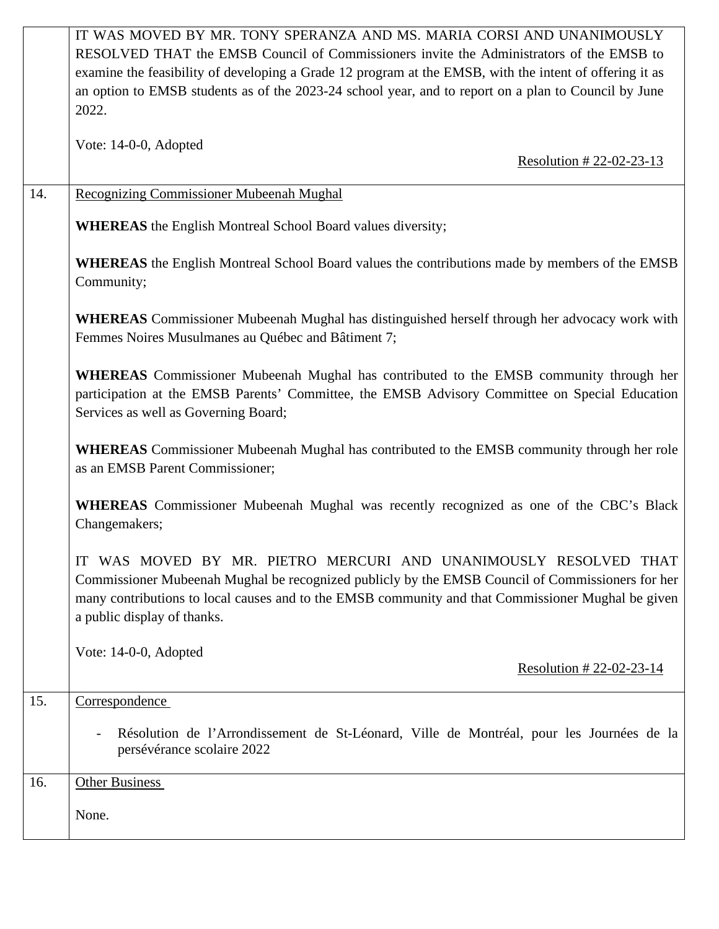|                                                                                                                                       | IT WAS MOVED BY MR. TONY SPERANZA AND MS. MARIA CORSI AND UNANIMOUSLY<br>RESOLVED THAT the EMSB Council of Commissioners invite the Administrators of the EMSB to<br>examine the feasibility of developing a Grade 12 program at the EMSB, with the intent of offering it as<br>an option to EMSB students as of the 2023-24 school year, and to report on a plan to Council by June<br>2022. |  |  |
|---------------------------------------------------------------------------------------------------------------------------------------|-----------------------------------------------------------------------------------------------------------------------------------------------------------------------------------------------------------------------------------------------------------------------------------------------------------------------------------------------------------------------------------------------|--|--|
|                                                                                                                                       | Vote: 14-0-0, Adopted<br>Resolution #22-02-23-13                                                                                                                                                                                                                                                                                                                                              |  |  |
| 14.                                                                                                                                   | <b>Recognizing Commissioner Mubeenah Mughal</b>                                                                                                                                                                                                                                                                                                                                               |  |  |
|                                                                                                                                       | <b>WHEREAS</b> the English Montreal School Board values diversity;                                                                                                                                                                                                                                                                                                                            |  |  |
| <b>WHEREAS</b> the English Montreal School Board values the contributions made by members of the EMSB<br>Community;                   |                                                                                                                                                                                                                                                                                                                                                                                               |  |  |
|                                                                                                                                       | <b>WHEREAS</b> Commissioner Mubeenah Mughal has distinguished herself through her advocacy work with<br>Femmes Noires Musulmanes au Québec and Bâtiment 7;                                                                                                                                                                                                                                    |  |  |
|                                                                                                                                       | <b>WHEREAS</b> Commissioner Mubeenah Mughal has contributed to the EMSB community through her<br>participation at the EMSB Parents' Committee, the EMSB Advisory Committee on Special Education<br>Services as well as Governing Board;                                                                                                                                                       |  |  |
| <b>WHEREAS</b> Commissioner Mubeenah Mughal has contributed to the EMSB community through her role<br>as an EMSB Parent Commissioner; |                                                                                                                                                                                                                                                                                                                                                                                               |  |  |
| <b>WHEREAS</b> Commissioner Mubeenah Mughal was recently recognized as one of the CBC's Black<br>Changemakers;                        |                                                                                                                                                                                                                                                                                                                                                                                               |  |  |
|                                                                                                                                       | IT WAS MOVED BY MR. PIETRO MERCURI AND UNANIMOUSLY RESOLVED THAT<br>Commissioner Mubeenah Mughal be recognized publicly by the EMSB Council of Commissioners for her<br>many contributions to local causes and to the EMSB community and that Commissioner Mughal be given<br>a public display of thanks.                                                                                     |  |  |
|                                                                                                                                       | Vote: 14-0-0, Adopted<br>Resolution # $22-02-23-14$                                                                                                                                                                                                                                                                                                                                           |  |  |
| 15.                                                                                                                                   | Correspondence                                                                                                                                                                                                                                                                                                                                                                                |  |  |
|                                                                                                                                       | Résolution de l'Arrondissement de St-Léonard, Ville de Montréal, pour les Journées de la<br>persévérance scolaire 2022                                                                                                                                                                                                                                                                        |  |  |
| 16.                                                                                                                                   | <b>Other Business</b>                                                                                                                                                                                                                                                                                                                                                                         |  |  |
|                                                                                                                                       | None.                                                                                                                                                                                                                                                                                                                                                                                         |  |  |